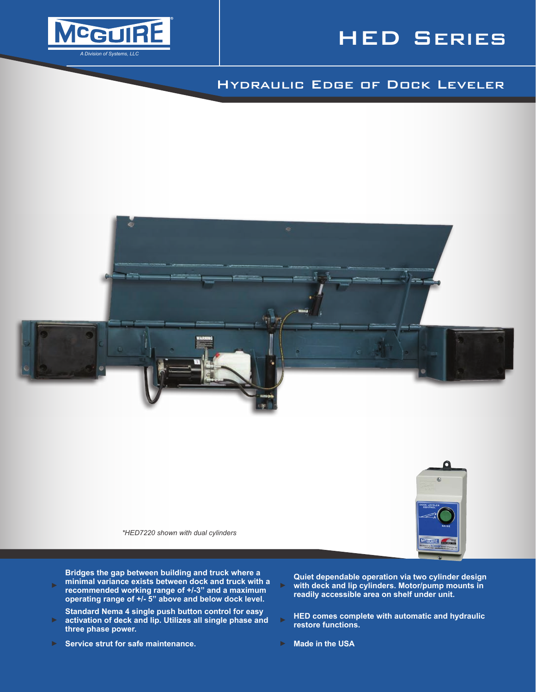

# HED Series

# Hydraulic Edge of Dock Leveler



**Bridges the gap between building and truck where a minimal variance exists between dock and truck with a recommended working range of +/-3" and a maximum operating range of +/- 5" above and below dock level.**

- **Standard Nema 4 single push button control for easy activation of deck and lip. Utilizes all single phase and three phase power.**
- ► **Service strut for safe maintenance.** ► **Made in the USA**

**Quiet dependable operation via two cylinder design with deck and lip cylinders. Motor/pump mounts in readily accessible area on shelf under unit.**

- **HED comes complete with automatic and hydraulic restore functions.**
-